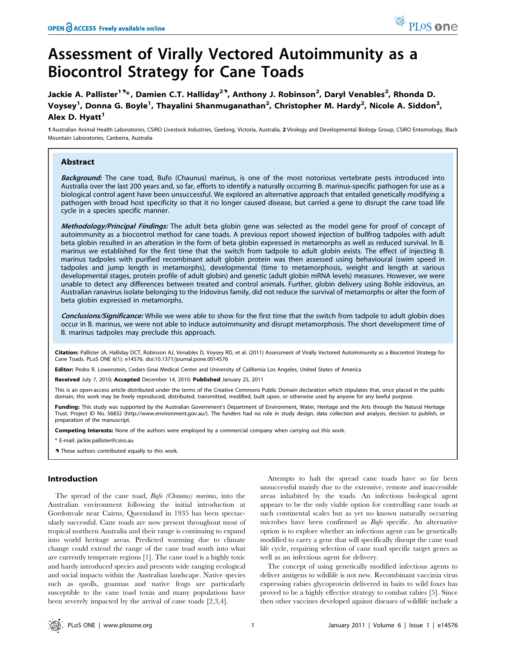# Assessment of Virally Vectored Autoimmunity as a Biocontrol Strategy for Cane Toads

Jackie A. Pallister<sup>19</sup>\*, Damien C.T. Halliday<sup>29</sup>, Anthony J. Robinson<sup>2</sup>, Daryl Venables<sup>2</sup>, Rhonda D. Voysey<sup>1</sup>, Donna G. Boyle<sup>1</sup>, Thayalini Shanmuganathan<sup>2</sup>, Christopher M. Hardy<sup>2</sup>, Nicole A. Siddon<sup>2</sup>, Alex D. Hyatt<sup>1</sup>

1 Australian Animal Health Laboratories, CSIRO Livestock Industries, Geelong, Victoria, Australia, 2 Virology and Developmental Biology Group, CSIRO Entomology, Black Mountain Laboratories, Canberra, Australia

## Abstract

Background: The cane toad, Bufo (Chaunus) marinus, is one of the most notorious vertebrate pests introduced into Australia over the last 200 years and, so far, efforts to identify a naturally occurring B. marinus-specific pathogen for use as a biological control agent have been unsuccessful. We explored an alternative approach that entailed genetically modifying a pathogen with broad host specificity so that it no longer caused disease, but carried a gene to disrupt the cane toad life cycle in a species specific manner.

Methodology/Principal Findings: The adult beta globin gene was selected as the model gene for proof of concept of autoimmunity as a biocontrol method for cane toads. A previous report showed injection of bullfrog tadpoles with adult beta globin resulted in an alteration in the form of beta globin expressed in metamorphs as well as reduced survival. In B. marinus we established for the first time that the switch from tadpole to adult globin exists. The effect of injecting B. marinus tadpoles with purified recombinant adult globin protein was then assessed using behavioural (swim speed in tadpoles and jump length in metamorphs), developmental (time to metamorphosis, weight and length at various developmental stages, protein profile of adult globin) and genetic (adult globin mRNA levels) measures. However, we were unable to detect any differences between treated and control animals. Further, globin delivery using Bohle iridovirus, an Australian ranavirus isolate belonging to the Iridovirus family, did not reduce the survival of metamorphs or alter the form of beta globin expressed in metamorphs.

Conclusions/Significance: While we were able to show for the first time that the switch from tadpole to adult globin does occur in B. marinus, we were not able to induce autoimmunity and disrupt metamorphosis. The short development time of B. marinus tadpoles may preclude this approach.

Citation: Pallister JA, Halliday DCT, Robinson AJ, Venables D, Voysey RD, et al. (2011) Assessment of Virally Vectored Autoimmunity as a Biocontrol Strategy for Cane Toads. PLoS ONE 6(1): e14576. doi:10.1371/journal.pone.0014576

Editor: Pedro R. Lowenstein, Cedars-Sinai Medical Center and University of California Los Angeles, United States of America

Received July 7, 2010; Accepted December 14, 2010; Published January 25, 2011

This is an open-access article distributed under the terms of the Creative Commons Public Domain declaration which stipulates that, once placed in the public domain, this work may be freely reproduced, distributed, transmitted, modified, built upon, or otherwise used by anyone for any lawful purpose.

Funding: This study was supported by the Australian Government's Department of Environment, Water, Heritage and the Arts through the Natural Heritage Trust. Project ID No. 56832 (http://www.environment.gov.au/). The funders had no role in study design, data collection and analysis, decision to publish, or preparation of the manuscript.

Competing Interests: None of the authors were employed by a commercial company when carrying out this work.

\* E-mail: jackie.pallister@csiro.au

**.** These authors contributed equally to this work.

## Introduction

The spread of the cane toad, Bufo (Chaunus) marinus, into the Australian environment following the initial introduction at Gordonvale near Cairns, Queensland in 1935 has been spectacularly successful. Cane toads are now present throughout most of tropical northern Australia and their range is continuing to expand into world heritage areas. Predicted warming due to climate change could extend the range of the cane toad south into what are currently temperate regions [1]. The cane toad is a highly toxic and hardy introduced species and presents wide ranging ecological and social impacts within the Australian landscape. Native species such as quolls, goannas and native frogs are particularly susceptible to the cane toad toxin and many populations have been severely impacted by the arrival of cane toads [2,3,4].

Attempts to halt the spread cane toads have so far been unsuccessful mainly due to the extensive, remote and inaccessible areas inhabited by the toads. An infectious biological agent appears to be the only viable option for controlling cane toads at such continental scales but as yet no known naturally occurring microbes have been confirmed as Bufo specific. An alternative option is to explore whether an infectious agent can be genetically modified to carry a gene that will specifically disrupt the cane toad life cycle, requiring selection of cane toad specific target genes as well as an infectious agent for delivery.

The concept of using genetically modified infectious agents to deliver antigens to wildlife is not new. Recombinant vaccinia virus expressing rabies glycoprotein delivered in baits to wild foxes has proved to be a highly effective strategy to combat rabies [5]. Since then other vaccines developed against diseases of wildlife include a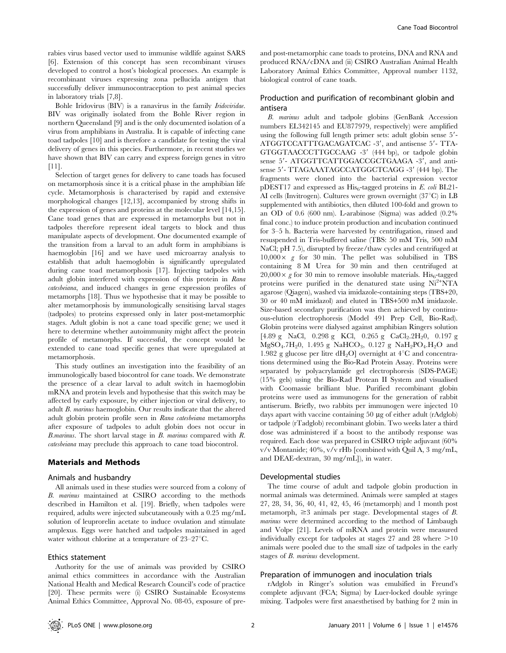rabies virus based vector used to immunise wildlife against SARS [6]. Extension of this concept has seen recombinant viruses developed to control a host's biological processes. An example is recombinant viruses expressing zona pellucida antigen that successfully deliver immunocontraception to pest animal species in laboratory trials [7,8].

Bohle Iridovirus (BIV) is a ranavirus in the family Iridoviridae. BIV was originally isolated from the Bohle River region in northern Queensland [9] and is the only documented isolation of a virus from amphibians in Australia. It is capable of infecting cane toad tadpoles [10] and is therefore a candidate for testing the viral delivery of genes in this species. Furthermore, in recent studies we have shown that BIV can carry and express foreign genes in vitro  $[11]$ .

Selection of target genes for delivery to cane toads has focused on metamorphosis since it is a critical phase in the amphibian life cycle. Metamorphosis is characterised by rapid and extensive morphological changes [12,13], accompanied by strong shifts in the expression of genes and proteins at the molecular level [14,15]. Cane toad genes that are expressed in metamorphs but not in tadpoles therefore represent ideal targets to block and thus manipulate aspects of development. One documented example of the transition from a larval to an adult form in amphibians is haemoglobin [16] and we have used microarray analysis to establish that adult haemoglobin is significantly upregulated during cane toad metamorphosis [17]. Injecting tadpoles with adult globin interfered with expression of this protein in Rana catesbeiana, and induced changes in gene expression profiles of metamorphs [18]. Thus we hypothesise that it may be possible to alter metamorphosis by immunologically sensitising larval stages (tadpoles) to proteins expressed only in later post-metamorphic stages. Adult globin is not a cane toad specific gene; we used it here to determine whether autoimmunity might affect the protein profile of metamorphs. If successful, the concept would be extended to cane toad specific genes that were upregulated at metamorphosis.

This study outlines an investigation into the feasibility of an immunologically based biocontrol for cane toads. We demonstrate the presence of a clear larval to adult switch in haemoglobin mRNA and protein levels and hypothesise that this switch may be affected by early exposure, by either injection or viral delivery, to adult B. marinus haemoglobin. Our results indicate that the altered adult globin protein profile seen in Rana catesbeiana metamorphs after exposure of tadpoles to adult globin does not occur in B.marinus. The short larval stage in B. marinus compared with R. catesbeiana may preclude this approach to cane toad biocontrol.

## Materials and Methods

#### Animals and husbandry

All animals used in these studies were sourced from a colony of B. marinus maintained at CSIRO according to the methods described in Hamilton et al. [19]. Briefly, when tadpoles were required, adults were injected subcutaneously with a 0.25 mg/mL solution of leuprorelin acetate to induce ovulation and stimulate amplexus. Eggs were hatched and tadpoles maintained in aged water without chlorine at a temperature of  $23-27^{\circ}\text{C}$ .

## Ethics statement

Authority for the use of animals was provided by CSIRO animal ethics committees in accordance with the Australian National Health and Medical Research Council's code of practice [20]. These permits were (i) CSIRO Sustainable Ecosystems Animal Ethics Committee, Approval No. 08-05, exposure of preand post-metamorphic cane toads to proteins, DNA and RNA and produced RNA/cDNA and (ii) CSIRO Australian Animal Health Laboratory Animal Ethics Committee, Approval number 1132, biological control of cane toads.

## Production and purification of recombinant globin and antisera

B. marinus adult and tadpole globins (GenBank Accession numbers EL342145 and EU877979, respectively) were amplified using the following full length primer sets: adult globin sense 5'-ATGGTCCATTTGACAGATCAC -3', and antisense 5'- TTA-GTGGTAACCCTTGCCAAG -3' (444 bp), or tadpole globin sense 5'- ATGGTTCATTGGACCGCTGAAGA -3', and antisense 5'- TTAGAAATAGCCATGGCTCAGG -3' (444 bp). The fragments were cloned into the bacterial expression vector pDEST17 and expressed as  $His<sub>6</sub>$ -tagged proteins in E. coli BL21-AI cells (Invitrogen). Cultures were grown overnight  $(37^{\circ}C)$  in LB supplemented with antibiotics, then diluted 100-fold and grown to an OD of 0.6 (600 nm). L-arabinose (Sigma) was added (0.2% final conc.) to induce protein production and incubation continued for 3–5 h. Bacteria were harvested by centrifugation, rinsed and resuspended in Tris-buffered saline (TBS: 50 mM Tris, 500 mM NaCl; pH 7.5), disrupted by freeze/thaw cycles and centrifuged at  $10,000 \times g$  for 30 min. The pellet was solubilised in TBS containing 8 M Urea for 30 min and then centrifuged at  $20,000 \times g$  for 30 min to remove insoluble materials. His<sub>6</sub>-tagged proteins were purified in the denatured state using Ni<sup>2+</sup>NTA agarose (Qiagen), washed via imidazole-containing steps (TBS+20, 30 or 40 mM imidazol) and eluted in TBS+500 mM imidazole. Size-based secondary purification was then achieved by continuous-elution electrophoresis (Model 491 Prep Cell, Bio-Rad). Globin proteins were dialysed against amphibian Ringers solution [4.89 g NaCl, 0.298 g KCl, 0.265 g CaCl<sub>2</sub>.2H<sub>2</sub>0, 0.197 g  $MgSO_4.7H_2O$ , 1.495 g NaHCO<sub>3</sub>, 0.127 g NaH<sub>2</sub>PO<sub>4</sub>.H<sub>2</sub>O and 1.982 g glucose per litre dH<sub>2</sub>O] overnight at  $4^{\circ}$ C and concentrations determined using the Bio-Rad Protein Assay. Proteins were separated by polyacrylamide gel electrophoresis (SDS-PAGE) (15% gels) using the Bio-Rad Protean II System and visualised with Coomassie brilliant blue. Purified recombinant globin proteins were used as immunogens for the generation of rabbit antiserum. Briefly, two rabbits per immunogen were injected 10 days apart with vaccine containing 50 µg of either adult (rAdglob) or tadpole (rTadglob) recombinant globin. Two weeks later a third dose was administered if a boost to the antibody response was required. Each dose was prepared in CSIRO triple adjuvant (60% v/v Montanide; 40%, v/v rHb [combined with Quil A, 3 mg/mL, and DEAE-dextran, 30 mg/mL]), in water.

## Developmental studies

The time course of adult and tadpole globin production in normal animals was determined. Animals were sampled at stages 27, 28, 34, 36, 40, 41, 42, 45, 46 (metamorph) and 1 month post metamorph,  $\geq$ 3 animals per stage. Developmental stages of B. marinus were determined according to the method of Limbaugh and Volpe [21]. Levels of mRNA and protein were measured individually except for tadpoles at stages 27 and 28 where  $>10$ animals were pooled due to the small size of tadpoles in the early stages of B. marinus development.

#### Preparation of immunogen and inoculation trials

rAdglob in Ringer's solution was emulsified in Freund's complete adjuvant (FCA; Sigma) by Luer-locked double syringe mixing. Tadpoles were first anaesthetised by bathing for 2 min in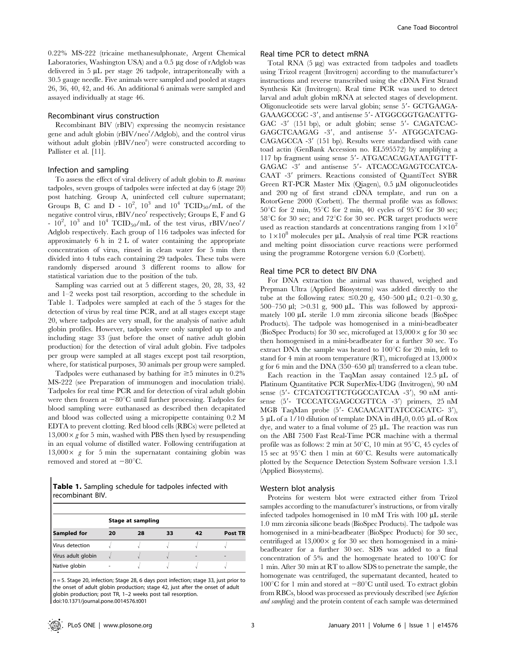0.22% MS-222 (tricaine methanesulphonate, Argent Chemical Laboratories, Washington USA) and a 0.5 µg dose of rAdglob was delivered in  $5 \mu L$  per stage 26 tadpole, intraperitoneally with a 30.5 gauge needle. Five animals were sampled and pooled at stages 26, 36, 40, 42, and 46. An additional 6 animals were sampled and assayed individually at stage 46.

## Recombinant virus construction

Recombinant BIV (rBIV) expressing the neomycin resistance gene and adult globin (rBIV/neo<sup>r</sup>/Adglob), and the control virus without adult globin (rBIV/neo<sup>r</sup>) were constructed according to Pallister et al. [11].

## Infection and sampling

To assess the effect of viral delivery of adult globin to B. marinus tadpoles, seven groups of tadpoles were infected at day 6 (stage 20) post hatching. Group A, uninfected cell culture supernatant; Groups B, C and  $\overline{D}$  -  $10^2$ ,  $10^3$  and  $10^4$  TCID<sub>50</sub>/mL of the negative control virus,  $rBIV/neo<sup>r</sup>$  respectively; Groups E, F and G -  $10^2$ ,  $10^3$  and  $10^4$  TCID<sub>50</sub>/mL of the test virus, rBIV/neo<sup>r</sup>/ Adglob respectively. Each group of 116 tadpoles was infected for approximately 6 h in 2 L of water containing the appropriate concentration of virus, rinsed in clean water for 5 min then divided into 4 tubs each containing 29 tadpoles. These tubs were randomly dispersed around 3 different rooms to allow for statistical variation due to the position of the tub.

Sampling was carried out at 5 different stages, 20, 28, 33, 42 and 1–2 weeks post tail resorption, according to the schedule in Table 1. Tadpoles were sampled at each of the 5 stages for the detection of virus by real time PCR, and at all stages except stage 20, where tadpoles are very small, for the analysis of native adult globin profiles. However, tadpoles were only sampled up to and including stage 33 (just before the onset of native adult globin production) for the detection of viral adult globin. Five tadpoles per group were sampled at all stages except post tail resorption, where, for statistical purposes, 30 animals per group were sampled.

Tadpoles were euthanased by bathing for  $\geq$ 5 minutes in 0.2% MS-222 (see Preparation of immunogen and inoculation trials). Tadpoles for real time PCR and for detection of viral adult globin were then frozen at  $-80^{\circ}$ C until further processing. Tadpoles for blood sampling were euthanased as described then decapitated and blood was collected using a micropipette containing 0.2 M EDTA to prevent clotting. Red blood cells (RBCs) were pelleted at  $13,000 \times g$  for 5 min, washed with PBS then lysed by resuspending in an equal volume of distilled water. Following centrifugation at  $13,000\times g$  for 5 min the supernatant containing globin was removed and stored at  $-80^{\circ}$ C.

Table 1. Sampling schedule for tadpoles infected with recombinant BIV.

|                    | Stage at sampling |    |    |    |         |  |  |  |
|--------------------|-------------------|----|----|----|---------|--|--|--|
| Sampled for        | 20                | 28 | 33 | 42 | Post TR |  |  |  |
| Virus detection    |                   |    |    |    |         |  |  |  |
| Virus adult globin |                   |    |    |    |         |  |  |  |
| Native globin      |                   |    |    |    |         |  |  |  |

n = 5. Stage 20, infection; Stage 28, 6 days post infection; stage 33, just prior to the onset of adult globin production; stage 42, just after the onset of adult globin production; post TR, 1–2 weeks post tail resorption. doi:10.1371/journal.pone.0014576.t001

## Real time PCR to detect mRNA

Total RNA (5 µg) was extracted from tadpoles and toadlets using Trizol reagent (Invitrogen) according to the manufacturer's instructions and reverse transcribed using the cDNA First Strand Synthesis Kit (Invitrogen). Real time PCR was used to detect larval and adult globin mRNA at selected stages of development. Oligonucleotide sets were larval globin; sense 5'- GCTGAAGA-GAAAGCCGC -3', and antisense 5'-ATGGCGGTGACATTG-GAC  $-3'$  (151 bp), or adult globin; sense  $5'$ - CAGATCAC-GAGCTCAAGAG -3', and antisense 5'- ATGGCATCAG-CAGAGCCA -3' (151 bp). Results were standardised with cane toad actin (GenBank Accession no. EL595572) by amplifying a 117 bp fragment using sense 5'-ATGACACAGATAATGTTT-GAGAC -3' and antisense 5'- ATCACCAGAGTCCATCA-CAAT -3' primers. Reactions consisted of QuantiTect SYBR Green RT-PCR Master Mix (Qiagen),  $0.5 \mu M$  oligonucleotides and 200 ng of first strand cDNA template, and run on a RotorGene 2000 (Corbett). The thermal profile was as follows:  $50^{\circ}$ C for 2 min,  $95^{\circ}$ C for 2 min, 40 cycles of  $95^{\circ}$ C for 30 sec;  $58^{\circ}$ C for 30 sec; and  $72^{\circ}$ C for 30 sec. PCR target products were used as reaction standards at concentrations ranging from  $1\times10^2$ to  $1\times10^8$  molecules per µL. Analysis of real time PCR reactions and melting point dissociation curve reactions were performed using the programme Rotorgene version 6.0 (Corbett).

#### Real time PCR to detect BIV DNA

For DNA extraction the animal was thawed, weighed and Prepman Ultra (Applied Biosystems) was added directly to the tube at the following rates:  $\leq 0.20$  g, 450–500 µL; 0.21–0.30 g, 500–750 µl;  $>0.31$  g, 900 µL. This was followed by approximately 100 µL sterile 1.0 mm zirconia silicone beads (BioSpec Products). The tadpole was homogenised in a mini-beadbeater (BioSpec Products) for 30 sec, microfuged at  $13,000 \times g$  for 30 sec then homogenised in a mini-beadbeater for a further 30 sec. To extract DNA the sample was heated to  $100^{\circ}$ C for 20 min, left to stand for 4 min at room temperature (RT), microfuged at  $13,000 \times$ g for 6 min and the DNA  $(350-650 \mu l)$  transferred to a clean tube.

Each reaction in the TaqMan assay contained  $12.5 \mu L$  of Platinum Quantitative PCR SuperMix-UDG (Invitrogen), 90 nM sense (5'- CTCATCGTTCTGGCCATCAA -3'), 90 nM antisense (5'- TCCCATCGAGCCGTTCA -3') primers, 25 nM MGB TaqMan probe (5'- CACAACATTATCCGCATC- 3'), 5 µL of a 1/10 dilution of template DNA in dH<sub>2</sub>0, 0.05 µL of Rox dye, and water to a final volume of  $25 \mu L$ . The reaction was run on the ABI 7500 Fast Real-Time PCR machine with a thermal profile was as follows: 2 min at  $50^{\circ}$ C, 10 min at  $95^{\circ}$ C, 45 cycles of 15 sec at  $95^{\circ}$ C then 1 min at  $60^{\circ}$ C. Results were automatically plotted by the Sequence Detection System Software version 1.3.1 (Applied Biosystems).

#### Western blot analysis

Proteins for western blot were extracted either from Trizol samples according to the manufacturer's instructions, or from virally infected tadpoles homogenised in 10 mM Tris with 100 µL sterile 1.0 mm zirconia silicone beads (BioSpec Products). The tadpole was homogenised in a mini-beadbeater (BioSpec Products) for 30 sec, centrifuged at  $13,000 \times$  g for 30 sec then homogenised in a minibeadbeater for a further 30 sec. SDS was added to a final concentration of 5% and the homogenate heated to  $100^{\circ}$ C for 1 min. After 30 min at RT to allow SDS to penetrate the sample, the homogenate was centrifuged, the supernatant decanted, heated to  $100^{\circ}$ C for 1 min and stored at  $-80^{\circ}$ C until used. To extract globin from RBCs, blood was processed as previously described (see Infection and sampling) and the protein content of each sample was determined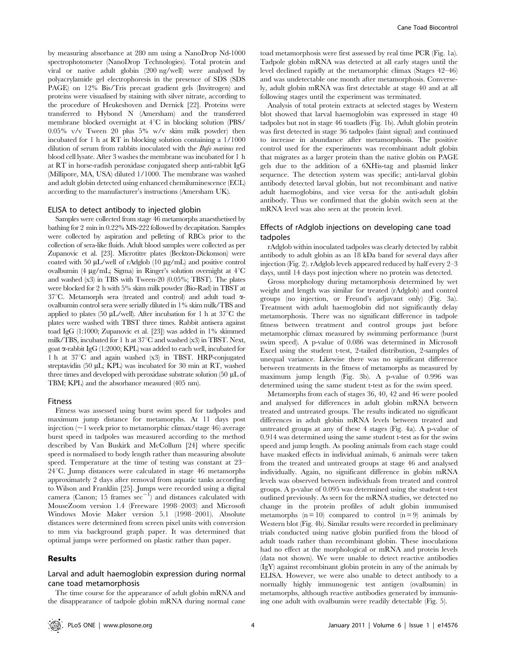by measuring absorbance at 280 nm using a NanoDrop Nd-1000 spectrophotometer (NanoDrop Technologies). Total protein and viral or native adult globin (200 ng/well) were analysed by polyacrylamide gel electrophoresis in the presence of SDS (SDS PAGE) on 12% Bis/Tris precast gradient gels (Invitrogen) and

proteins were visualised by staining with silver nitrate, according to the procedure of Heukeshoven and Dernick [22]. Proteins were transferred to Hybond N (Amersham) and the transferred membrane blocked overnight at  $4^{\circ}$ C in blocking solution (PBS/ 0.05% v/v Tween 20 plus 5% w/v skim milk powder) then incubated for 1 h at RT in blocking solution containing a 1/1000 dilution of serum from rabbits inoculated with the Bufo marinus red blood cell lysate. After 3 washes the membrane was incubated for 1 h at RT in horse-radish peroxidase conjugated sheep anti-rabbit IgG (Millipore, MA, USA) diluted 1/1000. The membrane was washed and adult globin detected using enhanced chemiluminescence (ECL) according to the manufacturer's instructions (Amersham UK).

#### ELISA to detect antibody to injected globin

Samples were collected from stage 46 metamorphs anaesthetised by bathing for 2 min in 0.22% MS-222 followed by decapitation. Samples were collected by aspiration and pelleting of RBCs prior to the collection of sera-like fluids. Adult blood samples were collected as per Zupanovic et al. [23]. Microtitre plates (Beckton-Dickonson) were coated with 50  $\mu$ L/well of rAdglob (10  $\mu$ g/mL) and positive control ovalbumin (4  $\mu$ g/mL; Sigma) in Ringer's solution overnight at  $4^{\circ}$ C and washed (x3) in TBS with Tween-20 (0.05%; TBST). The plates were blocked for 2 h with 5% skim milk powder (Bio-Rad) in TBST at 37°C. Metamorph sera (treated and control) and adult toad  $\alpha$ ovalbumin control sera were serially diluted in 1% skim milk/TBS and applied to plates (50  $\mu$ L/well). After incubation for 1 h at 37°C the plates were washed with TBST three times. Rabbit antisera against toad IgG (1:1000; Zupanovic et al. [23]) was added in 1% skimmed milk/TBS, incubated for 1 h at  $37^{\circ}$ C and washed (x3) in TBST. Next, goat  $\alpha$ -rabbit IgG (1:2000; KPL) was added to each well, incubated for 1 h at  $37^{\circ}$ C and again washed  $(x3)$  in TBST. HRP-conjugated streptavidin (50  $\mu$ L; KPL) was incubated for 30 min at RT, washed three times and developed with peroxidase substrate solution (50  $\mu$ L of TBM; KPL) and the absorbance measured (405 nm).

#### Fitness

Fitness was assessed using burst swim speed for tadpoles and maximum jump distance for metamorphs. At 11 days post injection ( $\sim$ 1 week prior to metamorphic climax/stage 46) average burst speed in tadpoles was measured according to the method described by Van Buskirk and McCollum [24] where specific speed is normalised to body length rather than measuring absolute speed. Temperature at the time of testing was constant at 23–  $24^{\circ}$ C. Jump distances were calculated in stage 46 metamorphs approximately 2 days after removal from aquatic tanks according to Wilson and Franklin [25]. Jumps were recorded using a digital camera (Canon; 15 frames  $\sec^{-1}$ ) and distances calculated with MouseZoom version 1.4 (Freeware 1998–2003) and Microsoft Windows Movie Maker version 5.1 (1998–2001). Absolute distances were determined from screen pixel units with conversion to mm via background graph paper. It was determined that optimal jumps were performed on plastic rather than paper.

#### Results

## Larval and adult haemoglobin expression during normal cane toad metamorphosis

The time course for the appearance of adult globin mRNA and the disappearance of tadpole globin mRNA during normal cane

toad metamorphosis were first assessed by real time PCR (Fig. 1a). Tadpole globin mRNA was detected at all early stages until the level declined rapidly at the metamorphic climax (Stages 42–46) and was undetectable one month after metamorphosis. Conversely, adult globin mRNA was first detectable at stage 40 and at all following stages until the experiment was terminated.

Analysis of total protein extracts at selected stages by Western blot showed that larval haemoglobin was expressed in stage 40 tadpoles but not in stage 46 toadlets (Fig. 1b). Adult globin protein was first detected in stage 36 tadpoles (faint signal) and continued to increase in abundance after metamorphosis. The positive control used for the experiments was recombinant adult globin that migrates as a larger protein than the native globin on PAGE gels due to the addition of a 6XHis-tag and plasmid linker sequence. The detection system was specific; anti-larval globin antibody detected larval globin, but not recombinant and native adult haemoglobins, and vice versa for the anti-adult globin antibody. Thus we confirmed that the globin switch seen at the mRNA level was also seen at the protein level.

## Effects of rAdglob injections on developing cane toad tadpoles

rAdglob within inoculated tadpoles was clearly detected by rabbit antibody to adult globin as an 18 kDa band for several days after injection (Fig. 2). rAdglob levels appeared reduced by half every 2–3 days, until 14 days post injection where no protein was detected.

Gross morphology during metamorphosis determined by wet weight and length was similar for treated (rAdglob) and control groups (no injection, or Freund's adjuvant only) (Fig. 3a). Treatment with adult haemoglobin did not significantly delay metamorphosis. There was no significant difference in tadpole fitness between treatment and control groups just before metamorphic climax measured by swimming performance (burst swim speed). A p-value of 0.086 was determined in Microsoft Excel using the student t-test, 2-tailed distribution, 2-samples of unequal variance. Likewise there was no significant difference between treatments in the fitness of metamorphs as measured by maximum jump length (Fig. 3b). A p-value of 0.996 was determined using the same student t-test as for the swim speed.

Metamorphs from each of stages 36, 40, 42 and 46 were pooled and analysed for differences in adult globin mRNA between treated and untreated groups. The results indicated no significant differences in adult globin mRNA levels between treated and untreated groups at any of these 4 stages (Fig. 4a). A p-value of 0.914 was determined using the same student t-test as for the swim speed and jump length. As pooling animals from each stage could have masked effects in individual animals, 6 animals were taken from the treated and untreated groups at stage 46 and analysed individually. Again, no significant difference in globin mRNA levels was observed between individuals from treated and control groups. A p-value of 0.095 was determined using the student t-test outlined previously. As seen for the mRNA studies, we detected no change in the protein profiles of adult globin immunised metamorphs  $(n = 10)$  compared to control  $(n = 9)$  animals by Western blot (Fig. 4b). Similar results were recorded in preliminary trials conducted using native globin purified from the blood of adult toads rather than recombinant globin. These inoculations had no effect at the morphological or mRNA and protein levels (data not shown). We were unable to detect reactive antibodies (IgY) against recombinant globin protein in any of the animals by ELISA. However, we were also unable to detect antibody to a normally highly immunogenic test antigen (ovalbumin) in metamorphs, although reactive antibodies generated by immunising one adult with ovalbumin were readily detectable (Fig. 5).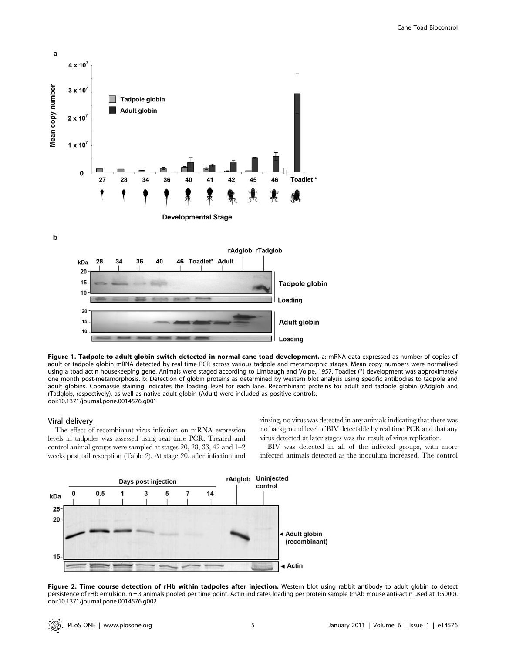

Figure 1. Tadpole to adult globin switch detected in normal cane toad development. a: mRNA data expressed as number of copies of adult or tadpole globin mRNA detected by real time PCR across various tadpole and metamorphic stages. Mean copy numbers were normalised using a toad actin housekeeping gene. Animals were staged according to Limbaugh and Volpe, 1957. Toadlet (\*) development was approximately one month post-metamorphosis. b: Detection of globin proteins as determined by western blot analysis using specific antibodies to tadpole and adult globins. Coomassie staining indicates the loading level for each lane. Recombinant proteins for adult and tadpole globin (rAdglob and rTadglob, respectively), as well as native adult globin (Adult) were included as positive controls. doi:10.1371/journal.pone.0014576.g001

#### Viral delivery

The effect of recombinant virus infection on mRNA expression levels in tadpoles was assessed using real time PCR. Treated and control animal groups were sampled at stages 20, 28, 33, 42 and 1–2 weeks post tail resorption (Table 2). At stage 20, after infection and rinsing, no virus was detected in any animals indicating that there was no background level of BIV detectable by real time PCR and that any virus detected at later stages was the result of virus replication.

BIV was detected in all of the infected groups, with more infected animals detected as the inoculum increased. The control



Figure 2. Time course detection of rHb within tadpoles after injection. Western blot using rabbit antibody to adult globin to detect persistence of rHb emulsion. n = 3 animals pooled per time point. Actin indicates loading per protein sample (mAb mouse anti-actin used at 1:5000). doi:10.1371/journal.pone.0014576.g002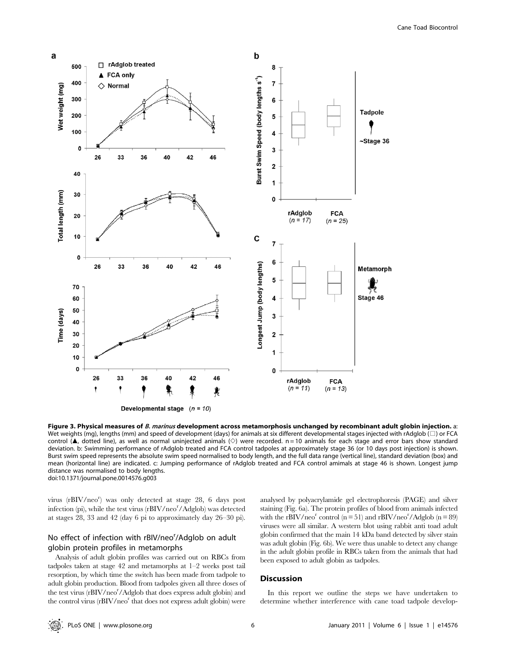

Figure 3. Physical measures of B. marinus development across metamorphosis unchanged by recombinant adult globin injection. a: Wet weights (mg), lengths (mm) and speed of development (days) for animals at six different developmental stages injected with rAdglob ( $\square$ ) or FCA control (A, dotted line), as well as normal uninjected animals ( $\diamond$ ) were recorded. n = 10 animals for each stage and error bars show standard deviation. b: Swimming performance of rAdglob treated and FCA control tadpoles at approximately stage 36 (or 10 days post injection) is shown. Burst swim speed represents the absolute swim speed normalised to body length, and the full data range (vertical line), standard deviation (box) and mean (horizontal line) are indicated. c: Jumping performance of rAdglob treated and FCA control amimals at stage 46 is shown. Longest jump distance was normalised to body lengths. doi:10.1371/journal.pone.0014576.g003

virus (rBIV/neo<sup>r</sup>) was only detected at stage 28, 6 days post infection (pi), while the test virus (rBIV/neo<sup>r</sup>/Adglob) was detected at stages 28, 33 and 42 (day 6 pi to approximately day 26–30 pi).

## No effect of infection with rBIV/neo<sup>r</sup>/Adglob on adult globin protein profiles in metamorphs

Analysis of adult globin profiles was carried out on RBCs from tadpoles taken at stage 42 and metamorphs at 1–2 weeks post tail resorption, by which time the switch has been made from tadpole to adult globin production. Blood from tadpoles given all three doses of the test virus (rBIV/neo<sup>r</sup>/Adglob that does express adult globin) and the control virus  $(rBIV/neo<sup>r</sup>$  that does not express adult globin) were analysed by polyacrylamide gel electrophoresis (PAGE) and silver staining (Fig. 6a). The protein profiles of blood from animals infected with the rBIV/neo<sup>r</sup> control ( $n = 51$ ) and rBIV/neo<sup>r</sup>/Adglob ( $n = 89$ ) viruses were all similar. A western blot using rabbit anti toad adult globin confirmed that the main 14 kDa band detected by silver stain was adult globin (Fig. 6b). We were thus unable to detect any change in the adult globin profile in RBCs taken from the animals that had been exposed to adult globin as tadpoles.

#### **Discussion**

In this report we outline the steps we have undertaken to determine whether interference with cane toad tadpole develop-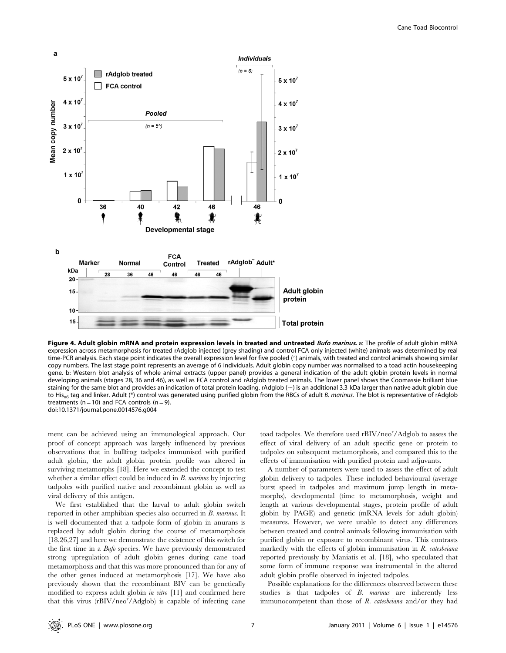

Figure 4. Adult globin mRNA and protein expression levels in treated and untreated Bufo marinus. a: The profile of adult globin mRNA expression across metamorphosis for treated rAdglob injected (grey shading) and control FCA only injected (white) animals was determined by real time-PCR analysis. Each stage point indicates the overall expression level for five pooled (') animals, with treated and control animals showing similar copy numbers. The last stage point represents an average of 6 individuals. Adult globin copy number was normalised to a toad actin housekeeping gene. b: Western blot analysis of whole animal extracts (upper panel) provides a general indication of the adult globin protein levels in normal developing animals (stages 28, 36 and 46), as well as FCA control and rAdglob treated animals. The lower panel shows the Coomassie brilliant blue staining for the same blot and provides an indication of total protein loading. rAdglob  $(\sim)$  is an additional 3.3 kDa larger than native adult globin due to His<sub>x6</sub> tag and linker. Adult (\*) control was generated using purified globin from the RBCs of adult B. marinus. The blot is representative of rAdglob treatments ( $n = 10$ ) and FCA controls ( $n = 9$ ). doi:10.1371/journal.pone.0014576.g004

ment can be achieved using an immunological approach. Our proof of concept approach was largely influenced by previous observations that in bullfrog tadpoles immunised with purified adult globin, the adult globin protein profile was altered in surviving metamorphs [18]. Here we extended the concept to test whether a similar effect could be induced in B. marinus by injecting tadpoles with purified native and recombinant globin as well as viral delivery of this antigen.

We first established that the larval to adult globin switch reported in other amphibian species also occurred in B. marinus. It is well documented that a tadpole form of globin in anurans is replaced by adult globin during the course of metamorphosis [18,26,27] and here we demonstrate the existence of this switch for the first time in a Bufo species. We have previously demonstrated strong upregulation of adult globin genes during cane toad metamorphosis and that this was more pronounced than for any of the other genes induced at metamorphosis [17]. We have also previously shown that the recombinant BIV can be genetically modified to express adult globin *in vitro* [11] and confirmed here that this virus (rBIV/neo<sup>r</sup>/Adglob) is capable of infecting cane

toad tadpoles. We therefore used rBIV/neo<sup>r</sup>/Adglob to assess the effect of viral delivery of an adult specific gene or protein to tadpoles on subsequent metamorphosis, and compared this to the effects of immunisation with purified protein and adjuvants.

A number of parameters were used to assess the effect of adult globin delivery to tadpoles. These included behavioural (average burst speed in tadpoles and maximum jump length in metamorphs), developmental (time to metamorphosis, weight and length at various developmental stages, protein profile of adult globin by PAGE) and genetic (mRNA levels for adult globin) measures. However, we were unable to detect any differences between treated and control animals following immunisation with purified globin or exposure to recombinant virus. This contrasts markedly with the effects of globin immunisation in  $R$ . catesbeiana reported previously by Maniatis et al. [18], who speculated that some form of immune response was instrumental in the altered adult globin profile observed in injected tadpoles.

Possible explanations for the differences observed between these studies is that tadpoles of B. marinus are inherently less immunocompetent than those of R. catesbeiana and/or they had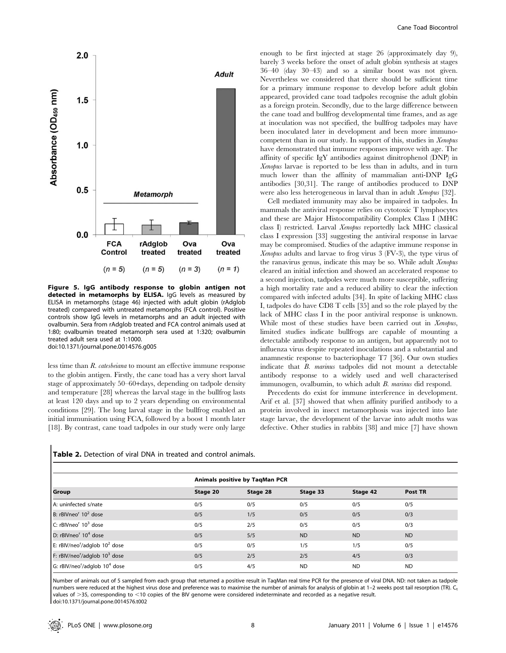

Figure 5. IgG antibody response to globin antigen not detected in metamorphs by ELISA. IgG levels as measured by ELISA in metamorphs (stage 46) injected with adult globin (rAdglob treated) compared with untreated metamorphs (FCA control). Positive controls show IgG levels in metamorphs and an adult injected with ovalbumin. Sera from rAdglob treated and FCA control animals used at 1:80; ovalbumin treated metamorph sera used at 1:320; ovalbumin treated adult sera used at 1:1000. doi:10.1371/journal.pone.0014576.g005

less time than R. catesbeiana to mount an effective immune response to the globin antigen. Firstly, the cane toad has a very short larval stage of approximately 50–60+days, depending on tadpole density and temperature [28] whereas the larval stage in the bullfrog lasts at least 120 days and up to 2 years depending on environmental conditions [29]. The long larval stage in the bullfrog enabled an initial immunisation using FCA, followed by a boost 1 month later [18]. By contrast, cane toad tadpoles in our study were only large

enough to be first injected at stage 26 (approximately day 9), barely 3 weeks before the onset of adult globin synthesis at stages 36–40 (day 30–43) and so a similar boost was not given. Nevertheless we considered that there should be sufficient time for a primary immune response to develop before adult globin appeared, provided cane toad tadpoles recognise the adult globin as a foreign protein. Secondly, due to the large difference between the cane toad and bullfrog developmental time frames, and as age at inoculation was not specified, the bullfrog tadpoles may have been inoculated later in development and been more immunocompetent than in our study. In support of this, studies in Xenopus have demonstrated that immune responses improve with age. The affinity of specific IgY antibodies against dinitrophenol (DNP) in Xenopus larvae is reported to be less than in adults, and in turn much lower than the affinity of mammalian anti-DNP IgG antibodies [30,31]. The range of antibodies produced to DNP were also less heterogeneous in larval than in adult Xenopus [32].

Cell mediated immunity may also be impaired in tadpoles. In mammals the antiviral response relies on cytotoxic T lymphocytes and these are Major Histocompatibility Complex Class I (MHC class I) restricted. Larval Xenopus reportedly lack MHC classical class I expression [33] suggesting the antiviral response in larvae may be compromised. Studies of the adaptive immune response in Xenopus adults and larvae to frog virus 3 (FV-3), the type virus of the ranavirus genus, indicate this may be so. While adult Xenopus cleared an initial infection and showed an accelerated response to a second injection, tadpoles were much more susceptible, suffering a high mortality rate and a reduced ability to clear the infection compared with infected adults [34]. In spite of lacking MHC class I, tadpoles do have CD8 T cells [35] and so the role played by the lack of MHC class I in the poor antiviral response is unknown. While most of these studies have been carried out in Xenopus, limited studies indicate bullfrogs are capable of mounting a detectable antibody response to an antigen, but apparently not to influenza virus despite repeated inoculations and a substantial and anamnestic response to bacteriophage T7 [36]. Our own studies indicate that B. marinus tadpoles did not mount a detectable antibody response to a widely used and well characterised immunogen, ovalbumin, to which adult B. marinus did respond.

Precedents do exist for immune interference in development. Arif et al. [37] showed that when affinity purified antibody to a protein involved in insect metamorphosis was injected into late stage larvae, the development of the larvae into adult moths was defective. Other studies in rabbits [38] and mice [7] have shown

| Group                                                 | Animals positive by TaqMan PCR |          |           |           |           |  |  |
|-------------------------------------------------------|--------------------------------|----------|-----------|-----------|-----------|--|--|
|                                                       | Stage 20                       | Stage 28 | Stage 33  | Stage 42  | Post TR   |  |  |
| A: uninfected s/nate                                  | 0/5                            | 0/5      | 0/5       | 0/5       | 0/5       |  |  |
| B: rBIVneo <sup>r</sup> 10 <sup>2</sup> dose          | 0/5                            | 1/5      | 0/5       | 0/5       | 0/3       |  |  |
| C: rBIVneo <sup>r</sup> 10 <sup>3</sup> dose          | 0/5                            | 2/5      | 0/5       | 0/5       | 0/3       |  |  |
| D: rBIVneo <sup>r</sup> 10 <sup>4</sup> dose          | 0/5                            | 5/5      | <b>ND</b> | <b>ND</b> | <b>ND</b> |  |  |
| E: rBIV/neo <sup>r</sup> /adglob $10^2$ dose          | 0/5                            | 0/5      | 1/5       | 1/5       | 0/5       |  |  |
| F: rBIV/neo <sup>r</sup> /adglob 10 <sup>3</sup> dose | 0/5                            | 2/5      | 2/5       | 4/5       | 0/3       |  |  |
| G: rBIV/neo <sup>r</sup> /adglob 10 <sup>4</sup> dose | 0/5                            | 4/5      | <b>ND</b> | <b>ND</b> | <b>ND</b> |  |  |

Table 2. Detection of viral DNA in treated and control animals.

Number of animals out of 5 sampled from each group that returned a positive result in TaqMan real time PCR for the presence of viral DNA. ND: not taken as tadpole numbers were reduced at the highest virus dose and preference was to maximise the number of animals for analysis of globin at 1-2 weeks post tail resorption (TR). C<sub>t</sub> values of  $>$ 35, corresponding to <10 copies of the BIV genome were considered indeterminate and recorded as a negative result. doi:10.1371/journal.pone.0014576.t002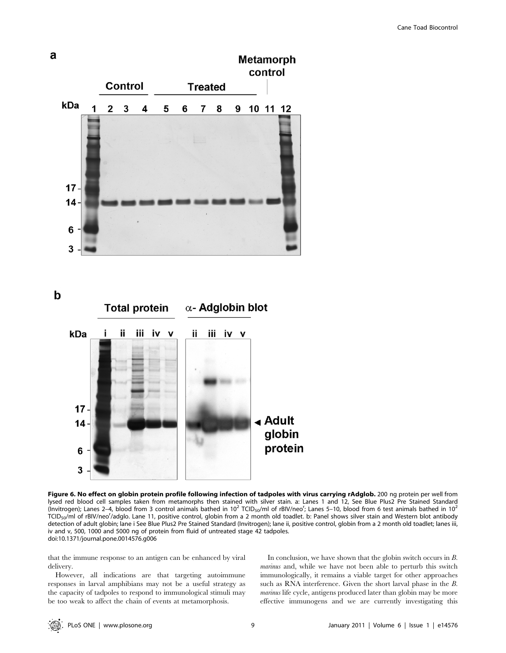

Figure 6. No effect on globin protein profile following infection of tadpoles with virus carrying rAdglob. 200 ng protein per well from lysed red blood cell samples taken from metamorphs then stained with silver stain. a: Lanes 1 and 12, See Blue Plus2 Pre Stained Standard (Invitrogen); Lanes 2–4, blood from 3 control animals bathed in 10<sup>2</sup> TCID<sub>50</sub>/ml of rBIV/neo<sup>r</sup>; Lanes 5–10, blood from 6 test animals bathed in 10<sup>2</sup> TCID<sub>50</sub>/ml of rBIV/neo<sup>r</sup>/adglo. Lane 11, positive control, globin from a 2 month old toadlet. b: Panel shows silver stain and Western blot antibody detection of adult globin; lane i See Blue Plus2 Pre Stained Standard (Invitrogen); lane ii, positive control, globin from a 2 month old toadlet; lanes iii, iv and v, 500, 1000 and 5000 ng of protein from fluid of untreated stage 42 tadpoles. doi:10.1371/journal.pone.0014576.g006

that the immune response to an antigen can be enhanced by viral delivery.

However, all indications are that targeting autoimmune responses in larval amphibians may not be a useful strategy as the capacity of tadpoles to respond to immunological stimuli may be too weak to affect the chain of events at metamorphosis.

In conclusion, we have shown that the globin switch occurs in  $B$ . marinus and, while we have not been able to perturb this switch immunologically, it remains a viable target for other approaches such as RNA interference. Given the short larval phase in the B. marinus life cycle, antigens produced later than globin may be more effective immunogens and we are currently investigating this